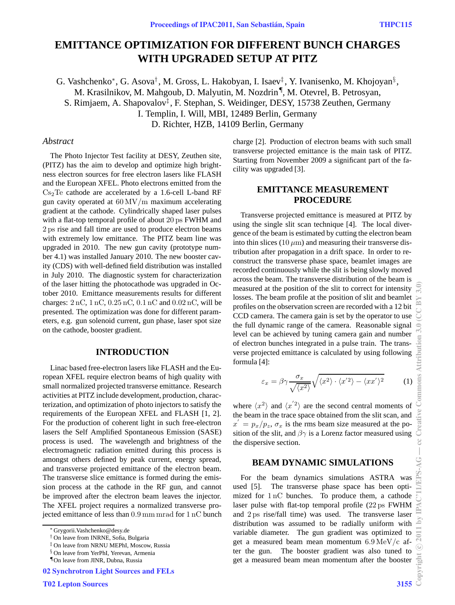# **EMITTANCE OPTIMIZATION FOR DIFFERENT BUNCH CHARGES WITH UPGRADED SETUP AT PITZ**

G. Vashchenko<sup>∗</sup>, G. Asova<sup>†</sup>, M. Gross, L. Hakobyan, I. Isaev<sup>‡</sup>, Y. Ivanisenko, M. Khojoyan<sup>§</sup>, M. Krasilnikov, M. Mahgoub, D. Malyutin, M. Nozdrin¶, M. Otevrel, B. Petrosyan, S. Rimjaem, A. Shapovalov‡ , F. Stephan, S. Weidinger, DESY, 15738 Zeuthen, Germany I. Templin, I. Will, MBI, 12489 Berlin, Germany D. Richter, HZB, 14109 Berlin, Germany

### *Abstract*

The Photo Injector Test facility at DESY, Zeuthen site, (PITZ) has the aim to develop and optimize high brightness electron sources for free electron lasers like FLASH and the European XFEL. Photo electrons emitted from the  $Cs<sub>2</sub>Te$  cathode are accelerated by a 1.6-cell L-band RF gun cavity operated at 60 MV/m maximum accelerating gradient at the cathode. Cylindrically shaped laser pulses with a flat-top temporal profile of about 20 ps FWHM and 2 ps rise and fall time are used to produce electron beams with extremely low emittance. The PITZ beam line was upgraded in 2010. The new gun cavity (prototype number 4.1) was installed January 2010. The new booster cavity (CDS) with well-defined field distribution was installed in July 2010. The diagnostic system for characterization of the laser hitting the photocathode was upgraded in October 2010. Emittance measurements results for different charges: 2 nC, 1 nC, 0.25 nC, 0.1 nC and 0.02 nC, will be presented. The optimization was done for different parameters, e.g. gun solenoid current, gun phase, laser spot size on the cathode, booster gradient.

### **INTRODUCTION**

Linac based free-electron lasers like FLASH and the European XFEL require electron beams of high quality with small normalized projected transverse emittance. Research activities at PITZ include development, production, characterization, and optimization of photo injectors to satisfy the requirements of the European XFEL and FLASH [1, 2]. For the production of coherent light in such free-electron lasers the Self Amplified Spontaneous Emission (SASE) process is used. The wavelength and brightness of the electromagnetic radiation emitted during this process is amongst others defined by peak current, energy spread, and transverse projected emittance of the electron beam. The transverse slice emittance is formed during the emission process at the cathode in the RF gun, and cannot be improved after the electron beam leaves the injector. The XFEL project requires a normalized transverse projected emittance of less than 0.9 mm mrad for 1 nC bunch charge [2]. Production of electron beams with such small transverse projected emittance is the main task of PITZ. Starting from November 2009 a significant part of the facility was upgraded [3].

# **EMITTANCE MEASUREMENT PROCEDURE**

Transverse projected emittance is measured at PITZ by using the single slit scan technique [4]. The local divergence of the beam is estimated by cutting the electron beam into thin slices  $(10 \,\mu\text{m})$  and measuring their transverse distribution after propagation in a drift space. In order to reconstruct the transverse phase space, beamlet images are recorded continuously while the slit is being slowly moved across the beam. The transverse distribution of the beam is measured at the position of the slit to correct for intensity losses. The beam profile at the position of slit and beamlet profiles on the observation screen are recorded with a 12 bit CCD camera. The camera gain is set by the operator to use the full dynamic range of the camera. Reasonable signal level can be achieved by tuning camera gain and number of electron bunches integrated in a pulse train. The transverse projected emittance is calculated by using following formula [4]:

$$
\varepsilon_x = \beta \gamma \frac{\sigma_x}{\sqrt{\langle x^2 \rangle}} \sqrt{\langle x^2 \rangle \cdot \langle x^2 \rangle - \langle x x^2 \rangle^2} \tag{1}
$$

where  $\langle x^2 \rangle$  and  $\langle x^2 \rangle$  are the second central moments of the beam in the trace space obtained from the slit scan, and  $x' = p_x/p_z$ ,  $\sigma_x$  is the rms beam size measured at the position of the slit, and  $\beta\gamma$  is a Lorenz factor measured using the dispersive section.

### **BEAM DYNAMIC SIMULATIONS**

For the beam dynamics simulations ASTRA was used [5]. The transverse phase space has been optimized for 1 nC bunches. To produce them, a cathode laser pulse with flat-top temporal profile (22 ps FWHM and 2 ps rise/fall time) was used. The transverse laser distribution was assumed to be radially uniform with variable diameter. The gun gradient was optimized to get a measured beam mean momentum 6.9 MeV/c after the gun. The booster gradient was also tuned to get a measured beam mean momentum after the booster

<sup>∗</sup> Grygorii.Vashchenko@desy.de

<sup>†</sup> On leave from INRNE, Sofia, Bulgaria

<sup>‡</sup> On leave from NRNU MEPhI, Moscow, Russia

<sup>§</sup> On leave from YerPhI, Yerevan, Armenia

<sup>¶</sup>On leave from JINR, Dubna, Russia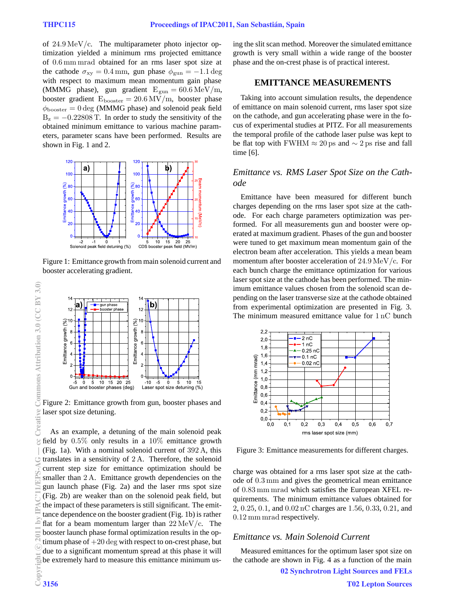of 24.9 MeV/c. The multiparameter photo injector optimization yielded a minimum rms projected emittance of 0.6 mm mrad obtained for an rms laser spot size at the cathode  $\sigma_{xy} = 0.4$  mm, gun phase  $\phi_{\text{gun}} = -1.1$  deg with respect to maximum mean momentum gain phase (MMMG phase), gun gradient  $E_{\text{gun}} = 60.6 \,\text{MeV/m}$ , booster gradient  $E_{\text{booster}} = 20.6 \text{ MV/m}$ , booster phase  $\phi_{\text{booster}} = 0 \text{ deg } (MMMG \text{ phase})$  and solenoid peak field  $B_z = -0.22808$  T. In order to study the sensitivity of the obtained minimum emittance to various machine parameters, parameter scans have been performed. Results are shown in Fig. 1 and 2.



Figure 1: Emittance growth from main solenoid current and booster accelerating gradient.



Figure 2: Emittance growth from gun, booster phases and laser spot size detuning.

As an example, a detuning of the main solenoid peak field by  $0.5\%$  only results in a  $10\%$  emittance growth (Fig. 1a). With a nominal solenoid current of 392 A, this translates in a sensitivity of 2 A. Therefore, the solenoid current step size for emittance optimization should be smaller than 2 A. Emittance growth dependencies on the gun launch phase (Fig. 2a) and the laser rms spot size (Fig. 2b) are weaker than on the solenoid peak field, but the impact of these parameters is still significant. The emittance dependence on the booster gradient (Fig. 1b) is rather flat for a beam momentum larger than  $22 \text{ MeV}/c$ . The booster launch phase formal optimization results in the optimum phase of  $+20$  deg with respect to on-crest phase, but due to a significant momentum spread at this phase it will be extremely hard to measure this emittance minimum using the slit scan method. Moreover the simulated emittance growth is very small within a wide range of the booster phase and the on-crest phase is of practical interest.

## **EMITTANCE MEASUREMENTS**

Taking into account simulation results, the dependence of emittance on main solenoid current, rms laser spot size on the cathode, and gun accelerating phase were in the focus of experimental studies at PITZ. For all measurements the temporal profile of the cathode laser pulse was kept to be flat top with FWHM  $\approx 20 \,\text{ps}$  and  $\sim 2 \,\text{ps}$  rise and fall time [6].

### *Emittance vs. RMS Laser Spot Size on the Cathode*

Emittance have been measured for different bunch charges depending on the rms laser spot size at the cathode. For each charge parameters optimization was performed. For all measurements gun and booster were operated at maximum gradient. Phases of the gun and booster were tuned to get maximum mean momentum gain of the electron beam after acceleration. This yields a mean beam momentum after booster acceleration of 24.9 MeV/c. For each bunch charge the emittance optimization for various laser spot size at the cathode has been performed. The minimum emittance values chosen from the solenoid scan depending on the laser transverse size at the cathode obtained from experimental optimization are presented in Fig. 3. The minimum measured emittance value for 1 nC bunch



Figure 3: Emittance measurements for different charges.

charge was obtained for a rms laser spot size at the cathode of 0.3 mm and gives the geometrical mean emittance of 0.83 mm mrad which satisfies the European XFEL requirements. The minimum emittance values obtained for 2, 0.25, 0.1, and 0.02 nC charges are 1.56, 0.33, 0.21, and 0.12 mm mrad respectively.

# *Emittance vs. Main Solenoid Current*

Measured emittances for the optimum laser spot size on the cathode are shown in Fig. 4 as a function of the main 02 Synchrotron Light Sources and FELs